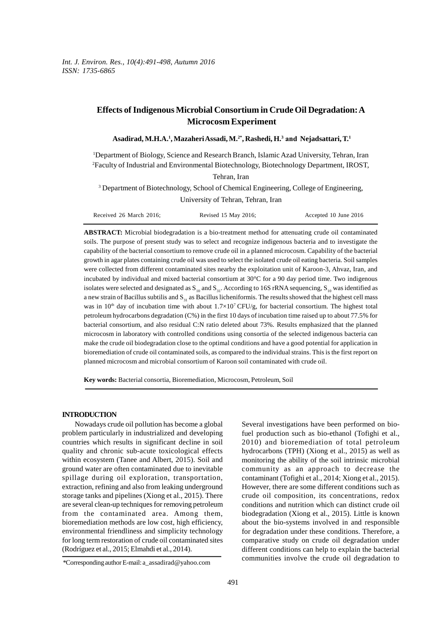# **Effects of Indigenous Microbial Consortium in Crude Oil Degradation: A Microcosm Experiment**

### **Asadirad, M.H.A.<sup>1</sup> , Mazaheri Assadi, M.2\*, Rashedi, H.<sup>3</sup> and Nejadsattari, T. 1**

<sup>1</sup>Department of Biology, Science and Research Branch, Islamic Azad University, Tehran, Iran <sup>2</sup>Faculty of Industrial and Environmental Biotechnology, Biotechnology Department, IROST,

Tehran, Iran

<sup>3</sup> Department of Biotechnology, School of Chemical Engineering, College of Engineering, University of Tehran, Tehran, Iran

| Received 26 March 2016: | Revised 15 May 2016; | Accepted 10 June 2016 |
|-------------------------|----------------------|-----------------------|
|-------------------------|----------------------|-----------------------|

**ABSTRACT:** Microbial biodegradation is a bio-treatment method for attenuating crude oil contaminated soils. The purpose of present study was to select and recognize indigenous bacteria and to investigate the capability of the bacterial consortium to remove crude oil in a planned microcosm. Capability of the bacterial growth in agar plates containing crude oil was used to select the isolated crude oil eating bacteria. Soil samples were collected from different contaminated sites nearby the exploitation unit of Karoon-3, Ahvaz, Iran, and incubated by individual and mixed bacterial consortium at 30°C for a 90 day period time. Two indigenous isolates were selected and designated as  $S_{10}$  and  $S_{31}$ . According to 16S rRNA sequencing,  $S_{10}$  was identified as growth in agar plates containing crude oil was used to select the isolated crude oil eating bacteria. Soil samples<br>were collected from different contaminated sites nearby the exploitation unit of Karoon-3, Ahvaz, Iran, an was in  $10<sup>th</sup>$  day of incubation time with about  $1.7\times10<sup>7</sup>$  CFU/g, for bacterial consortium. The highest total petroleum hydrocarbons degradation (C%) in the first 10 days of incubation time raised up to about 77.5% for isolates were selected and designated as  $S_{10}$  and  $S_{31}$ . According to 16S rRNA sequencing,  $S_{10}$  was identified as a new strain of Bacillus subtilis and  $S_{31}$  as Bacillus licheniformis. The results showed that th microcosm in laboratory with controlled conditions using consortia of the selected indigenous bacteria can make the crude oil biodegradation close to the optimal conditions and have a good potential for application in bioremediation of crude oil contaminated soils, as compared to the individual strains. This is the first report on planned microcosm and microbial consortium of Karoon soil contaminated with crude oil.

**Key words:** Bacterial consortia, Bioremediation, Microcosm, Petroleum, Soil

#### **INTRODUCTION**

Nowadays crude oil pollution has become a global problem particularly in industrialized and developing countries which results in significant decline in soil quality and chronic sub-acute toxicological effects within ecosystem (Tanee and Albert, 2015). Soil and ground water are often contaminated due to inevitable spillage during oil exploration, transportation, extraction, refining and also from leaking underground storage tanks and pipelines (Xiong et al., 2015). There are several clean-up techniques for removing petroleum from the contaminated area. Among them, bioremediation methods are low cost, high efficiency, environmental friendliness and simplicity technology for long term restoration of crude oil contaminated sites (Rodríguez et al., 2015; Elmahdi et al., 2014).

Several investigations have been performed on biofuel production such as bio-ethanol (Tofighi et al., 2010) and bioremediation of total petroleum hydrocarbons (TPH) (Xiong et al., 2015) as well as monitoring the ability of the soil intrinsic microbial community as an approach to decrease the contaminant (Tofighi et al., 2014; Xiong et al., 2015). However, there are some different conditions such as crude oil composition, its concentrations, redox conditions and nutrition which can distinct crude oil community as an approach to decrease the<br>contaminant (Tofighi et al., 2014; Xiong et al., 2015).<br>However, there are some different conditions such as<br>crude oil composition, its concentrations, redox<br>conditions and nutritio about the bio-systems involved in and responsible for degradation under these conditions. Therefore, a comparative study on crude oil degradation under different conditions can help to explain the bacterial communities involve the crude oil degradation to

<sup>\*</sup>Corresponding author E-mail:a\_assadirad@yahoo.com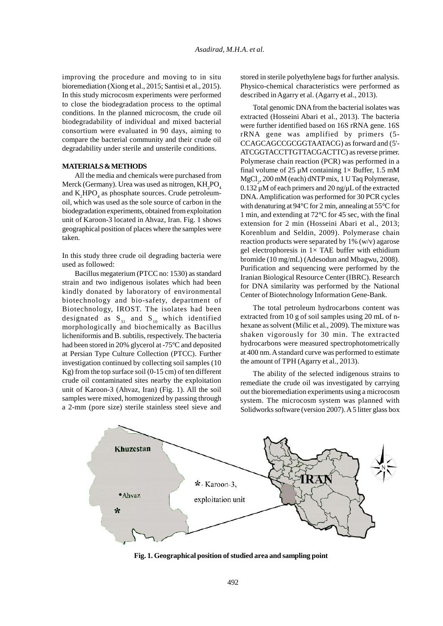improving the procedure and moving to in situ bioremediation (Xiong et al., 2015; Santisi et al., 2015). In this study microcosm experiments were performed to close the biodegradation process to the optimal conditions. In the planned microcosm, the crude oil biodegradability of individual and mixed bacterial consortium were evaluated in 90 days, aiming to compare the bacterial community and their crude oil degradability under sterile and unsterile conditions.

# **MATERIALS & METHODS**

All the media and chemicals were purchased from Merck (Germany). Urea was used as nitrogen,  $\rm KH_{2}PO_{4}$  and  $\rm K_{2}HPO_{4}$  as phosphate sources. Crude petroleumoil, which was used as the sole source of carbon in the biodegradation experiments, obtained from exploitation unit of Karoon-3 located in Ahvaz, Iran. Fig. 1 shows geographical position of places where the samples were taken.

In this study three crude oil degrading bacteria were used as followed:

Bacillus megaterium (PTCC no: 1530) as standard strain and two indigenous isolates which had been kindly donated by laboratory of environmental biotechnology and bio-safety, department of Biotechnology, IROST. The isolates had been designated as  $S_{31}$  and  $S_{10}$  which identified morphologically and biochemically as Bacillus licheniformis and B. subtilis, respectively. The bacteria had been stored in 20% glycerol at -75ºC and deposited at Persian Type Culture Collection (PTCC). Further investigation continued by collecting soil samples (10 Kg) from the top surface soil (0-15 cm) of ten different crude oil contaminated sites nearby the exploitation unit of Karoon-3 (Ahvaz, Iran) (Fig. 1). All the soil samples were mixed, homogenized by passing through a 2-mm (pore size) sterile stainless steel sieve and stored in sterile polyethylene bags for further analysis. Physico-chemical characteristics were performed as described in Agarry et al. (Agarry et al., 2013).

Total genomic DNA from the bacterial isolates was extracted (Hosseini Abari et al., 2013). The bacteria were further identified based on 16S rRNA gene. 16S rRNA gene was amplified by primers (5- CCAGCAGCCGCGGTAATACG) as forward and (5'- ATCGGTACCTTGTTACGACTTC) as reverse primer. Polymerase chain reaction (PCR) was performed in a final volume of 25  $\mu$ M containing 1× Buffer, 1.5 mM MgCl<sup>2</sup> , 200 mM (each) dNTP mix, 1 U Taq Polymerase, 0.132 μM of each primers and 20 ng/μL of the extracted DNA. Amplification was performed for 30 PCR cycles with denaturing at 94°C for 2 min, annealing at 55°C for 1 min, and extending at 72°C for 45 sec, with the final extension for 2 min (Hosseini Abari et al., 2013; Korenblum and Seldin, 2009). Polymerase chain reaction products were separated by 1% (w/v) agarose gel electrophoresis in  $1 \times$  TAE buffer with ethidium bromide (10 mg/mL) (Adesodun and Mbagwu, 2008). Purification and sequencing were performed by the Iranian Biological Resource Center (IBRC). Research for DNA similarity was performed by the National Center of Biotechnology Information Gene-Bank.

The total petroleum hydrocarbons content was extracted from 10 g of soil samples using 20 mL of nhexane as solvent (Milic et al., 2009). The mixture was shaken vigorously for 30 min. The extracted hydrocarbons were measured spectrophotometrically at 400 nm. A standard curve was performed to estimate the amount of TPH (Agarry et al., 2013).

The ability of the selected indigenous strains to remediate the crude oil was investigated by carrying out the bioremediation experiments using a microcosm system. The microcosm system was planned with Solidworks software (version 2007). A 5 litter glass box



**Fig. 1. Geographical position of studied area and sampling point**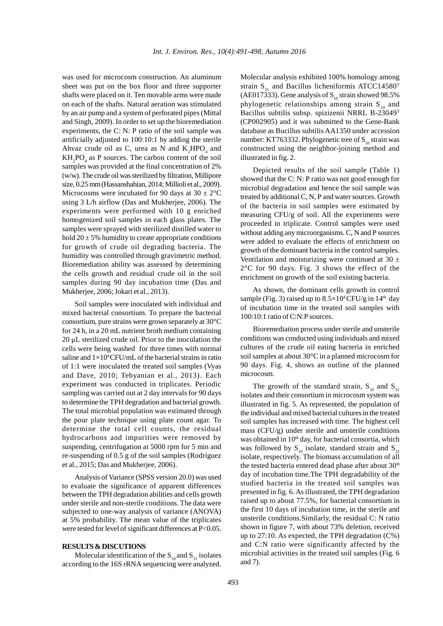was used for microcosm construction. An aluminum sheet was put on the box floor and three supporter shafts were placed on it. Ten movable arms were made on each of the shafts. Natural aeration was stimulated by an air pump and a system of perforated pipes (Mittal and Singh, 2009). In order to set up the bioremediation experiments, the C: N: P ratio of the soil sample was artificially adjusted to 100:10:1 by adding the sterile Ahvaz crude oil as C, urea as N and  $K_2HPO_4$  and co.  $KH<sub>2</sub>PO<sub>4</sub>$  as P sources. The carbon content of the soil samples was provided at the final concentration of 2% (w/w). The crude oil was sterilized by filtration, Millipore size, 0.25 mm (Hassanshahian, 2014; Millioli et al., 2009). Microcosms were incubated for 90 days at  $30 \pm 2^{\circ}$ C using 3 L/h airflow (Das and Mukherjee, 2006). The experiments were performed with 10 g enriched homogenized soil samples in each glass plates. The samples were sprayed with sterilized distilled water to hold  $20 \pm 5\%$  humidity to create appropriate conditions for growth of crude oil degrading bacteria. The humidity was controlled through gravimetric method. Bioremediation ability was assessed by determining the cells growth and residual crude oil in the soil samples during 90 day incubation time (Das and Mukherjee, 2006; Jokari et al., 2013).

Soil samples were inoculated with individual and mixed bacterial consortium. To prepare the bacterial consortium, pure strains were grown separately at 30°C for 24 h, in a 20 mL nutrient broth medium containing 20 μL sterilized crude oil. Prior to the inoculation the cells were being washed for three times with normal saline and  $1\times10^4$ CFU/mL of the bacterial strains in ratio of 1:1 were inoculated the treated soil samples (Vyas and Dave, 2010; Tebyanian et al., 2013). Each experiment was conducted in triplicates. Periodic sampling was carried out at 2 day intervals for 90 days to determine the TPH degradation and bacterial growth. The total microbial population was estimated through the pour plate technique using plate count agar. To determine the total cell counts, the residual hydrocarbons and impurities were removed by suspending, centrifugation at 5000 rpm for 5 min and re-suspending of 0.5 g of the soil samples (Rodríguez et al., 2015; Das and Mukherjee, 2006).

Analysis of Variance (SPSS version 20.0) was used to evaluate the significance of apparent differences between the TPH degradation abilities and cells growth under sterile and non-sterile conditions. The data were subjected to one-way analysis of variance (ANOVA) at 5% probability. The mean value of the triplicates were tested for level of significant differences at P<0.05.

### **RESULTS & DISCUTIONS**

Molecular identification of the  $S_{10}$  and  $S_{31}$  isolates according to the 16S rRNA sequencing were analyzed. Molecular analysis exhibited 100% homology among strain  $S_{31}$  and Bacillus licheniformis ATCC14580<sup>T</sup> (AE017333). Gene analysis of  $S_{10}$  strain showed 98.5% phylogenetic relationships among strain  $S_{10}$  and Bacillus subtilis subsp. spizizenii NRRL B-23049<sup>T</sup> (CP002905) and it was submitted to the Gene-Bank database as Bucillus subtilis AA1350 under accession number: KT763332. Phylogenetic tree of  $S<sub>10</sub>$  strain was constructed using the neighbor-joining method and illustrated in fig. 2.

Depicted results of the soil sample (Table 1) showed that the C: N: P ratio was not good enough for microbial degradation and hence the soil sample was treated by additional C, N, P and water sources. Growth of the bacteria in soil samples were estimated by measuring CFU/g of soil. All the experiments were proceeded in triplicate. Control samples were used without adding any microorganisms. C, N and P sources were added to evaluate the effects of enrichment on growth of the dominant bacteria in the control samples. Ventilation and moisturizing were continued at 30  $\pm$ 2°C for 90 days. Fig. 3 shows the effect of the enrichment on growth of the soil existing bacteria.

As shown, the dominant cells growth in control sample (Fig. 3) raised up to  $8.5 \times 10^4$  CFU/g in 14<sup>th</sup> day of incubation time in the treated soil samples with 100:10:1 ratio of C:N:P sources.

Bioremediation process under sterile and unsterile conditions was conducted using individuals and mixed cultures of the crude oil eating bacteria in enriched soil samples at about 30°C in a planned microcosm for 90 days. Fig. 4, shows an outline of the planned microcosm.

The growth of the standard strain,  $S_{10}$  and  $S_{31}$ isolates and their consortium in microcosm system was illustrated in fig. 5. As represented, the population of the individual and mixed bacterial cultures in the treated soil samples has increased with time. The highest cell mass (CFU/g) under sterile and unsterile conditions was obtained in 10<sup>th</sup> day, for bacterial consortia, which was followed by  $S_{10}$  isolate, standard strain and  $S_{31}$ isolate, respectively. The biomass accumulation of all the tested bacteria entered dead phase after about 30<sup>th</sup> day of incubation time.The TPH degradability of the studied bacteria in the treated soil samples was presented in fig. 6. As illustrated, the TPH degradation raised up to about 77.5%, for bacterial consortium in the first 10 days of incubation time, in the sterile and unsterile conditions.Similarly, the residual C: N ratio shown in figure 7, with about 73% deletion, received up to 27:10. As expected, the TPH degradation (C%) and C:N ratio were significantly affected by the microbial activities in the treated soil samples (Fig. 6 and 7).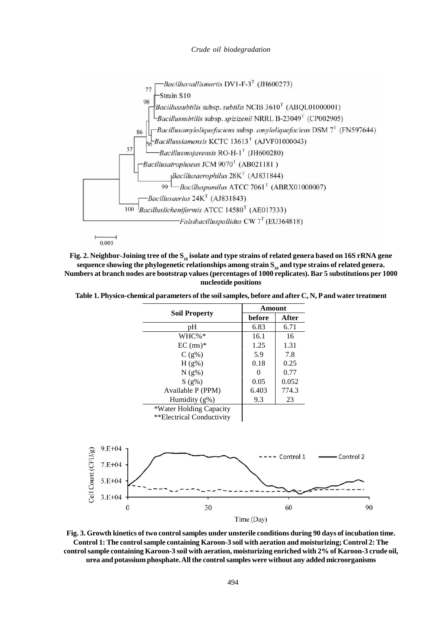*Crude oil biodegradation*



 $0.005$ 

**Fig. 2. Neighbor-Joining tree of the S<sup>10</sup> isolate and type strains of related genera based on 16S rRNA gene sequence showing the phylogenetic relationships among strain S10 and type strains of related genera. Numbers at branch nodes are bootstrap values (percentages of 1000 replicates). Bar 5 substitutions per 1000 nucleotide positions**

**Table 1. Physico-chemical parameters of the soil samples, before and after C, N, P and water treatment**

|                                  | <b>Amount</b> |           |           |
|----------------------------------|---------------|-----------|-----------|
| <b>Soil Property</b>             | before        | After     |           |
| pH                               | 6.83          | 6.71      |           |
| WHC%*                            | 16.1          | 16        |           |
| $EC$ (ms) $*$                    | 1.25          | 1.31      |           |
| $C(g\%)$                         | 5.9           | 7.8       |           |
| $H(g\%)$                         | 0.18          | 0.25      |           |
| $N(g\%)$                         | $\theta$      | 0.77      |           |
| S(9%)                            | 0.05          | 0.052     |           |
| Available P (PPM)                | 6.403         | 774.3     |           |
| Humidity (g%)                    | 9.3           | 23        |           |
| *Water Holding Capacity          |               |           |           |
| **Electrical Conductivity        |               |           |           |
|                                  |               |           |           |
| $9.E + 04$                       |               |           |           |
|                                  |               | Control 1 | Control 2 |
| $7.E+04$                         |               |           |           |
| $5.E + 04$                       |               |           |           |
|                                  |               |           |           |
| Cell Count (CFU/g)<br>$3.E + 04$ |               |           |           |
| 30<br>$\boldsymbol{0}$           |               | 60        | 90        |
|                                  | Time (Day)    |           |           |

**Fig. 3. Growth kinetics of two control samples under unsterile conditions during 90 days of incubation time. Control 1: The control sample containing Karoon-3 soil with aeration and moisturizing; Control 2: The control sample containing Karoon-3 soil with aeration, moisturizing enriched with 2% of Karoon-3 crude oil, urea and potassium phosphate. All the control samples were without any added microorganisms**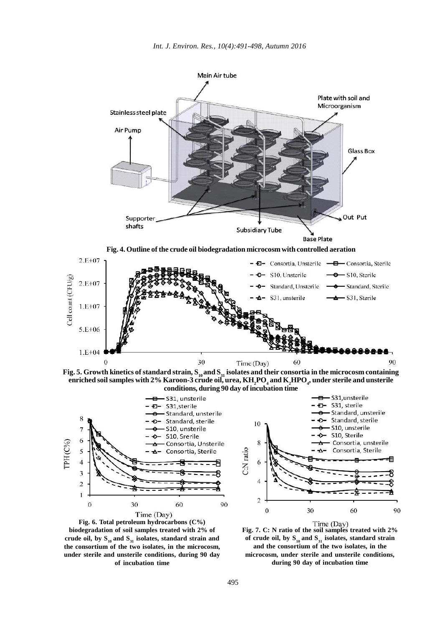

**Fig. 5. Growth kinetics of standard strain,**  $S_{10}$  **and**  $S_{31}$  **isolates and their consortia in the microcosm containing enriched soil samples with 2% Karoon-3 crude oil, urea, KH2PO<sup>4</sup> and K2HPO<sup>4</sup> , under sterile and unsterile conditions, during 90 day of incubation time**



**Fig. 6. Total petroleum hydrocarbons (C%) biodegradation of soil samples treated with 2% of crude oil, by S<sup>10</sup> and S31 isolates, standard strain and the consortium of the two isolates, in the microcosm, under sterile and unsterile conditions, during 90 day of incubation time**



**Fig. 7. C: N ratio of the soil samples treated with 2% of crude oil, by S<sup>10</sup> and S31 isolates, standard strain and the consortium of the two isolates, in the microcosm, under sterile and unsterile conditions, during 90 day of incubation time**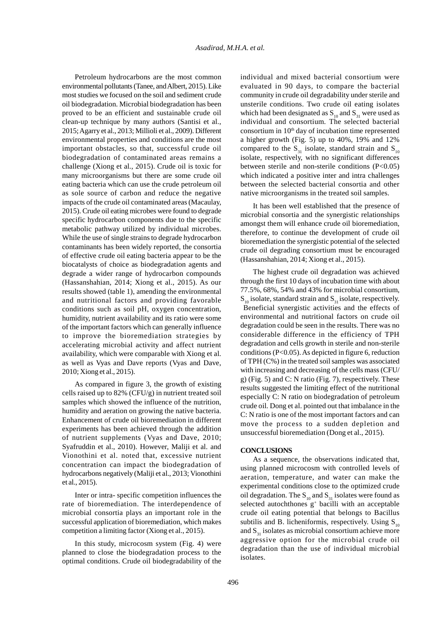Petroleum hydrocarbons are the most common environmental pollutants (Tanee, and Albert, 2015). Like most studies we focused on the soil and sediment crude oil biodegradation. Microbial biodegradation has been proved to be an efficient and sustainable crude oil clean-up technique by many authors (Santisi et al., 2015;Agarry et al., 2013; Millioli et al., 2009). Different environmental properties and conditions are the most important obstacles, so that, successful crude oil biodegradation of contaminated areas remains a challenge (Xiong et al., 2015). Crude oil is toxic for many microorganisms but there are some crude oil eating bacteria which can use the crude petroleum oil as sole source of carbon and reduce the negative impacts of the crude oil contaminated areas (Macaulay, challenge (Xiong et al., 2015). Crude oil is toxic for<br>
many microorganisms but there are some crude oil<br>
eating bacteria which can use the crude petroleum oil<br>
as sole source of carbon and reduce the negative<br>
impacts of specific hydrocarbon components due to the specific metabolic pathway utilized by individual microbes. While the use of single strains to degrade hydrocarbon contaminants has been widely reported, the consortia 2015). Crude oil eating microbes were found to degrade specific hydrocarbon components due to the specific metabolic pathway utilized by individual microbes. While the use of single strains to degrade hydrocarbon contamina biocatalysts of choice as biodegradation agents and degrade a wider range of hydrocarbon compounds (Hassanshahian, 2014; Xiong et al., 2015). As our results showed (table 1), amending the environmental and nutritional factors and providing favorable conditions such as soil pH, oxygen concentration, humidity, nutrient availability and its ratio were some of the important factors which can generally influence to improve the bioremediation strategies by accelerating microbial activity and affect nutrient availability, which were comparable with Xiong et al. as well as Vyas and Dave reports (Vyas and Dave, 2010; Xiong et al., 2015).

cells raised up to 82% (CFU/g) in nutrient treated soil samples which showed the influence of the nutrition, humidity and aeration on growing the native bacteria. Enhancement of crude oil bioremediation in different experiments has been achieved through the addition of nutrient supplements (Vyas and Dave, 2010; Syafruddin et al., 2010). However, Maliji et al. and Vionothini et al. noted that, excessive nutrient concentration can impact the biodegradation of hydrocarbons negatively (Maliji et al., 2013; Vionothini et al., 2015).

Inter or intra- specific competition influences the rate of bioremediation. The interdependence of microbial consortia plays an important role in the successful application of bioremediation, which makes subtilis and B. licheniformis, respectively. Using  $S_{10}$ competition a limiting factor (Xiong et al., 2015).

In this study, microcosm system (Fig. 4) were planned to close the biodegradation process to the optimal conditions. Crude oil biodegradability of the individual and mixed bacterial consortium were evaluated in 90 days, to compare the bacterial community in crude oil degradability under sterile and unsterile conditions. Two crude oil eating isolates individual and mixed bacterial consortium were<br>evaluated in 90 days, to compare the bacterial<br>community in crude oil degradability under sterile and<br>unsterile conditions. Two crude oil eating isolates<br>which had been desig individual and consortium. The selected bacterial consortium in  $10<sup>th</sup>$  day of incubation time represented a higher growth (Fig. 5) up to 40%, 19% and 12% unsterile conditions. Two crude oil eating isolates<br>which had been designated as  $S_{10}$  and  $S_{31}$  were used as<br>individual and consortium. The selected bacterial<br>consortium in 10<sup>th</sup> day of incubation time represented<br>a isolate, respectively, with no significant differences between sterile and non-sterile conditions (P<0.05) which indicated a positive inter and intra challenges between the selected bacterial consortia and other native microorganisms in the treated soil samples.

It has been well established that the presence of microbial consortia and the synergistic relationships amongst them will enhance crude oil bioremediation, therefore, to continue the development of crude oil bioremediation the synergistic potential of the selected crude oil degrading consortium must be encouraged (Hassanshahian, 2014; Xiong et al., 2015).

As compared in figure 3, the growth of existing general the limiting effect of the nutritional The highest crude oil degradation was achieved through the first 10 days of incubation time with about 77.5%, 68%, 54% and 43% for microbial consortium,  $S_{10}$  isolate, standard strain and  $S_{31}$  isolate, respectively. Beneficial synergistic activities and the effects of environmental and nutritional factors on crude oil degradation could be seen in the results. There was no considerable difference in the efficiency of TPH degradation and cells growth in sterile and non-sterile conditions (P<0.05). As depicted in figure 6, reduction of TPH (C%) in the treated soil samples was associated with increasing and decreasing of the cells mass (CFU/ considerable difference in the efficiency of TPH<br>degradation and cells growth in sterile and non-sterile<br>conditions (P<0.05). As depicted in figure 6, reduction<br>of TPH (C%) in the treated soil samples was associated<br>with i results suggested the limiting effect of the nutritional especially C: N ratio on biodegradation of petroleum crude oil. Dong et al. pointed out that imbalance in the C: N ratio is one of the most important factors and can move the process to a sudden depletion and unsuccessful bioremediation (Dong et al., 2015).

#### **CONCLUSIONS**

As a sequence, the observations indicated that, using planned microcosm with controlled levels of aeration, temperature, and water can make the experimental conditions close to the optimized crude **CONCLUSIONS** As a sequence, the observations indicated that, using planned microcosm with controlled levels of aeration, temperature, and water can make the experimental conditions close to the optimized crude oil degrad selected autochthones  $g^+$  bacilli with an acceptable crude oil eating potential that belongs to Bacillus experimental conditions close to the optimized crude<br>oil degradation. The  $S_{10}$  and  $S_{31}$  isolates were found as<br>selected autochthones  $g^+$  bacilli with an acceptable<br>crude oil eating potential that belongs to Bacill aggressive option for the microbial crude oil degradation than the use of individual microbial isolates.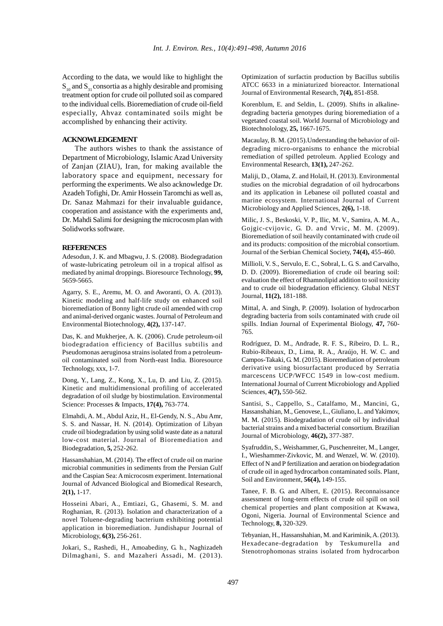According to the data, we would like to highlight the  $S_{10}$  and  $S_{31}$  consortia as a highly desirable and promising treatment option for crude oil polluted soil as compared to the individual cells. Bioremediation of crude oil-field especially, Ahvaz contaminated soils might be accomplished by enhancing their activity.

## **ACKNOWLEDGEMENT**

The authors wishes to thank the assistance of Department of Microbiology, Islamic Azad University of Zanjan (ZIAU), Iran, for making available the laboratory space and equipment, necessary for **PERTOWLEDGEMENT**<br>The authors wishes to thank the assistance of<br>Department of Microbiology, Islamic Azad University<br>of Zanjan (ZIAU), Iran, for making available the<br>laboratory space and equipment, necessary for<br>performing Azadeh Tofighi, Dr. Amir Hossein Taromchi as well as, Department of Microbiology, Islamic Azad University<br>of Zanjan (ZIAU), Iran, for making available the<br>laboratory space and equipment, necessary for<br>performing the experiments. We also acknowledge Dr.<br>Azadeh Tofighi, Dr. Ami cooperation and assistance with the experiments and, Dr. Mahdi Salimi for designing the microcosm plan with Solidworks software.

# **REFERENCES**

Adesodun, J. K. and Mbagwu, J. S. (2008). Biodegradation of waste-lubricating petroleum oil in a tropical alfisol as mediated by animal droppings. Bioresource Technology, **99,** 5659-5665.

Agarry, S. E., Aremu, M. O. and Aworanti, O. A. (2013). Kinetic modeling and half-life study on enhanced soil bioremediation of Bonny light crude oil amended with crop and animal-derived organic wastes. Journal of Petroleum and Environmental Biotechnology, **4(2),** 137-147.

Das, K. and Mukherjee, A. K. (2006). Crude petroleum-oil biodegradation efficiency of Bacillus subtilis and Pseudomonas aeruginosa strains isolated from a petroleumoil contaminated soil from North-east India. Bioresource Technology, xxx, 1-7.

Dong, Y., Lang, Z., Kong, X., Lu, D. and Liu, Z. (2015). Kinetic and multidimensional profiling of accelerated degradation of oil sludge by biostimulation. Environmental Science: Processes & Impacts, **17(4),** 763-774.

Elmahdi, A. M., Abdul Aziz, H., El-Gendy, N. S., Abu Amr, Elinandi, A. M., Abdul Aziz, H., El-Oendy, N. S., Abd Allif, M. M. (2015). Biodegradation of crude oil by individual<br>S. S. and Nassar, H. N. (2014). Optimization of Libyan besteriel strains and a mixed besteriel encontium crude oil biodegradation by using solid waste date as a natural low-cost material. Journal of Bioremediation and Biodegradation, **5,** 252-262.

Hassanshahian, M. (2014). The effect of crude oil on marine microbial communities in sediments from the Persian Gulf and the Caspian Sea: A microcosm experiment. International Journal of Advanced Biological and Biomedical Research, **2(1),** 1-17.

Hosseini Abari, A., Emtiazi, G., Ghasemi, S. M. and Roghanian, R. (2013). Isolation and characterization of a novel Toluene-degrading bacterium exhibiting potential application in bioremediation. Jundishapur Journal of Microbiology, **6(3),** 256-261.

Jokari, S., Rashedi, H., Amoabediny, G. h., Naghizadeh Dilmaghani, S. and Mazaheri Assadi, M. (2013).

Optimization of surfactin production by Bacillus subtilis ATCC 6633 in a miniaturized bioreactor. International Journal of Environmental Research, **7(4),** 851-858.

Korenblum, E. and Seldin, L. (2009). Shifts in alkalinedegrading bacteria genotypes during bioremediation of a vegetated coastal soil. World Journal of Microbiology and Biotechnolology, **25,** 1667-1675.

Macaulay, B. M. (2015).Understanding the behavior of oildegrading micro-organisms to enhance the microbial remediation of spilled petroleum. Applied Ecology and Environmental Research, **13(1),** 247-262.

Maliji, D., Olama, Z. and Holail, H. (2013). Environmental studies on the microbial degradation of oil hydrocarbons and its application in Lebanese oil polluted coastal and marine ecosystem. International Journal of Current Microbiology and Applied Sciences, **2(6),** 1-18.

Milic, J. S., Beskoski, V. P., Ilic, M. V., Samira, A. M. A., Gojgic-cvijovic, G. D. and Vrvic, M. M. (2009). Bioremediation of soil heavily contaminated with crude oil and its products: composition of the microbial consortium. Journal of the Serbian Chemical Society, **74(4),** 455-460.

Millioli, V. S., Servulo, E. C., Sobral, L. G. S. and Carvalho, D. D. (2009). Bioremediation of crude oil bearing soil: evaluation the effect of Rhamnolipid addition to soil toxicity and to crude oil biodegradation efficiency. Glubal NEST Journal, **11(2),** 181-188.

Mittal, A. and Singh, P. (2009). Isolation of hydrocarbon degrading bacteria from soils contaminated with crude oil spills. Indian Journal of Experimental Biology, **47,** 760- 765.

Rodríguez, D. M., Andrade, R. F. S., Ribeiro, D. L. R., Rubio-Ribeaux, D., Lima, R. A., Araújo, H. W. C. and Campos-Takaki, G. M. (2015). Bioremediation of petroleum derivative using biosurfactant produced by Serratia marcescens UCP/WFCC 1549 in low-cost medium. International Journal of Current Microbiology and Applied Sciences, **4(7),** 550-562.

Santisi, S., Cappello, S., Catalfamo, M., Mancini, G., Hassanshahian, M., Genovese, L., Giuliano, L. and Yakimov, International Journal of Current Microbiology and Applied<br>Sciences, 4(7), 550-562.<br>Santisi, S., Cappello, S., Catalfamo, M., Mancini, G.,<br>Hassanshahian, M., Genovese, L., Giuliano, L. and Yakimov,<br>M. M. (2015). Biodegradat bacterial strains and a mixed bacterial consortium. Brazilian Journal of Microbiology, **46(2),** 377-387.

Syafruddin, S., Weishammer, G., Puschenreiter, M., Langer, I., Wieshammer-Zivkovic, M. and Wenzel, W. W. (2010). Effect of N and P fertilization and aeration on biodegradation of crude oil in aged hydrocarbon contaminated soils. Plant, Soil and Environment, **56(4),** 149-155.

Tanee, F. B. G. and Albert, E. (2015). Reconnaissance assessment of long-term effects of crude oil spill on soil chemical properties and plant composition at Kwawa, Ogoni, Nigeria. Journal of Environmental Science and Technology, **8,** 320-329.

Tebyanian, H., Hassanshahian, M. and Kariminik, A. (2013). Hexadecane-degradation by Teskumurella and Stenotrophomonas strains isolated from hydrocarbon